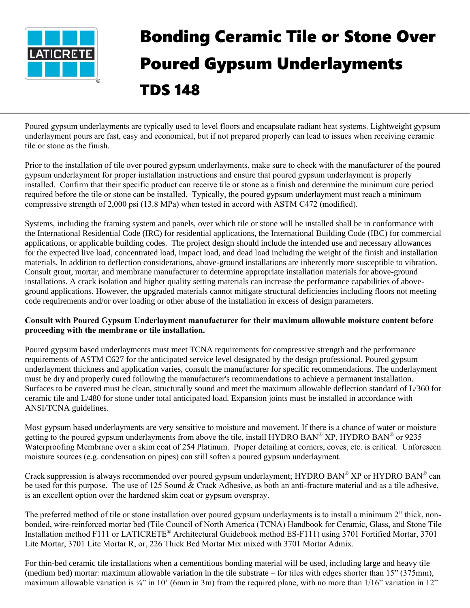

## Bonding Ceramic Tile or Stone Over Poured Gypsum Underlayments TDS 148

Poured gypsum underlayments are typically used to level floors and encapsulate radiant heat systems. Lightweight gypsum underlayment pours are fast, easy and economical, but if not prepared properly can lead to issues when receiving ceramic tile or stone as the finish.

Prior to the installation of tile over poured gypsum underlayments, make sure to check with the manufacturer of the poured gypsum underlayment for proper installation instructions and ensure that poured gypsum underlayment is properly installed. Confirm that their specific product can receive tile or stone as a finish and determine the minimum cure period required before the tile or stone can be installed. Typically, the poured gypsum underlayment must reach a minimum compressive strength of 2,000 psi (13.8 MPa) when tested in accord with ASTM C472 (modified).

Systems, including the framing system and panels, over which tile or stone will be installed shall be in conformance with the International Residential Code (IRC) for residential applications, the International Building Code (IBC) for commercial applications, or applicable building codes. The project design should include the intended use and necessary allowances for the expected live load, concentrated load, impact load, and dead load including the weight of the finish and installation materials. In addition to deflection considerations, above-ground installations are inherently more susceptible to vibration. Consult grout, mortar, and membrane manufacturer to determine appropriate installation materials for above-ground installations. A crack isolation and higher quality setting materials can increase the performance capabilities of aboveground applications. However, the upgraded materials cannot mitigate structural deficiencies including floors not meeting code requirements and/or over loading or other abuse of the installation in excess of design parameters.

## **Consult with Poured Gypsum Underlayment manufacturer for their maximum allowable moisture content before proceeding with the membrane or tile installation.**

Poured gypsum based underlayments must meet TCNA requirements for compressive strength and the performance requirements of ASTM C627 for the anticipated service level designated by the design professional. Poured gypsum underlayment thickness and application varies, consult the manufacturer for specific recommendations. The underlayment must be dry and properly cured following the manufacturer's recommendations to achieve a permanent installation. Surfaces to be covered must be clean, structurally sound and meet the maximum allowable deflection standard of L/360 for ceramic tile and L/480 for stone under total anticipated load. Expansion joints must be installed in accordance with ANSI/TCNA guidelines.

Most gypsum based underlayments are very sensitive to moisture and movement. If there is a chance of water or moisture getting to the poured gypsum underlayments from above the tile, install HYDRO BAN® XP, HYDRO BAN® or 9235 Waterproofing Membrane over a skim coat of 254 Platinum. Proper detailing at corners, coves, etc. is critical. Unforeseen moisture sources (e.g. condensation on pipes) can still soften a poured gypsum underlayment.

Crack suppression is always recommended over poured gypsum underlayment; HYDRO BAN® XP or HYDRO BAN® can be used for this purpose. The use of 125 Sound & Crack Adhesive, as both an anti-fracture material and as a tile adhesive, is an excellent option over the hardened skim coat or gypsum overspray.

The preferred method of tile or stone installation over poured gypsum underlayments is to install a minimum 2" thick, nonbonded, wire-reinforced mortar bed (Tile Council of North America (TCNA) Handbook for Ceramic, Glass, and Stone Tile Installation method F111 or LATICRETE® Architectural Guidebook method ES-F111) using 3701 Fortified Mortar, 3701 Lite Mortar, 3701 Lite Mortar R, or, 226 Thick Bed Mortar Mix mixed with 3701 Mortar Admix.

For thin-bed ceramic tile installations when a cementitious bonding material will be used, including large and heavy tile (medium bed) mortar: maximum allowable variation in the tile substrate – for tiles with edges shorter than 15" (375mm), maximum allowable variation is  $\frac{1}{4}$ " in 10' (6mm in 3m) from the required plane, with no more than  $1/16$ " variation in 12"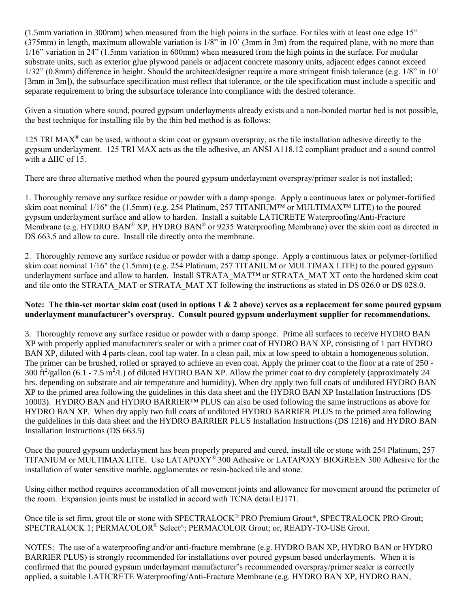(1.5mm variation in 300mm) when measured from the high points in the surface. For tiles with at least one edge 15" (375mm) in length, maximum allowable variation is 1/8" in 10' (3mm in 3m) from the required plane, with no more than 1/16" variation in 24" (1.5mm variation in 600mm) when measured from the high points in the surface. For modular substrate units, such as exterior glue plywood panels or adjacent concrete masonry units, adjacent edges cannot exceed 1/32" (0.8mm) difference in height. Should the architect/designer require a more stringent finish tolerance (e.g. 1/8" in 10' [3mm in 3m]), the subsurface specification must reflect that tolerance, or the tile specification must include a specific and separate requirement to bring the subsurface tolerance into compliance with the desired tolerance.

Given a situation where sound, poured gypsum underlayments already exists and a non-bonded mortar bed is not possible, the best technique for installing tile by the thin bed method is as follows:

125 TRI MAX<sup>®</sup> can be used, without a skim coat or gypsum overspray, as the tile installation adhesive directly to the gypsum underlayment. 125 TRI MAX acts as the tile adhesive, an ANSI A118.12 compliant product and a sound control with a ΔIIC of 15.

There are three alternative method when the poured gypsum underlayment overspray/primer sealer is not installed;

1. Thoroughly remove any surface residue or powder with a damp sponge. Apply a continuous latex or polymer-fortified skim coat nominal 1/16" the (1.5mm) (e.g. 254 Platinum, 257 TITANIUM™ or MULTIMAX™ LITE) to the poured gypsum underlayment surface and allow to harden. Install a suitable LATICRETE Waterproofing/Anti-Fracture Membrane (e.g. HYDRO BAN® XP, HYDRO BAN® or 9235 Waterproofing Membrane) over the skim coat as directed in DS 663.5 and allow to cure. Install tile directly onto the membrane.

2. Thoroughly remove any surface residue or powder with a damp sponge. Apply a continuous latex or polymer-fortified skim coat nominal 1/16" the (1.5mm) (e.g. 254 Platinum, 257 TITANIUM or MULTIMAX LITE) to the poured gypsum underlayment surface and allow to harden. Install STRATA\_MAT™ or STRATA\_MAT XT onto the hardened skim coat and tile onto the STRATA\_MAT or STRATA\_MAT XT following the instructions as stated in DS 026.0 or DS 028.0.

## **Note: The thin-set mortar skim coat (used in options 1 & 2 above) serves as a replacement for some poured gypsum underlayment manufacturer's overspray. Consult poured gypsum underlayment supplier for recommendations.**

3. Thoroughly remove any surface residue or powder with a damp sponge. Prime all surfaces to receive HYDRO BAN XP with properly applied manufacturer's sealer or with a primer coat of HYDRO BAN XP, consisting of 1 part HYDRO BAN XP, diluted with 4 parts clean, cool tap water. In a clean pail, mix at low speed to obtain a homogeneous solution. The primer can be brushed, rolled or sprayed to achieve an even coat. Apply the primer coat to the floor at a rate of 250 - 300  $\text{ft}^2/\text{gallon}$  (6.1 - 7.5 m<sup>2</sup>/L) of diluted HYDRO BAN XP. Allow the primer coat to dry completely (approximately 24 hrs. depending on substrate and air temperature and humidity). When dry apply two full coats of undiluted HYDRO BAN XP to the primed area following the guidelines in this data sheet and the HYDRO BAN XP Installation Instructions (DS 10003). HYDRO BAN and HYDRO BARRIER™ PLUS can also be used following the same instructions as above for HYDRO BAN XP. When dry apply two full coats of undiluted HYDRO BARRIER PLUS to the primed area following the guidelines in this data sheet and the HYDRO BARRIER PLUS Installation Instructions (DS 1216) and HYDRO BAN Installation Instructions (DS 663.5)

Once the poured gypsum underlayment has been properly prepared and cured, install tile or stone with 254 Platinum, 257 TITANIUM or MULTIMAX LITE. Use LATAPOXY® 300 Adhesive or LATAPOXY BIOGREEN 300 Adhesive for the installation of water sensitive marble, agglomerates or resin-backed tile and stone.

Using either method requires accommodation of all movement joints and allowance for movement around the perimeter of the room. Expansion joints must be installed in accord with TCNA detail EJ171.

Once tile is set firm, grout tile or stone with SPECTRALOCK<sup>®</sup> PRO Premium Grout\*, SPECTRALOCK PRO Grout; SPECTRALOCK 1; PERMACOLOR® Select^; PERMACOLOR Grout; or, READY-TO-USE Grout.

NOTES: The use of a waterproofing and/or anti-fracture membrane (e.g. HYDRO BAN XP, HYDRO BAN or HYDRO BARRIER PLUS) is strongly recommended for installations over poured gypsum based underlayments. When it is confirmed that the poured gypsum underlayment manufacturer's recommended overspray/primer sealer is correctly applied, a suitable LATICRETE Waterproofing/Anti-Fracture Membrane (e.g. HYDRO BAN XP, HYDRO BAN,